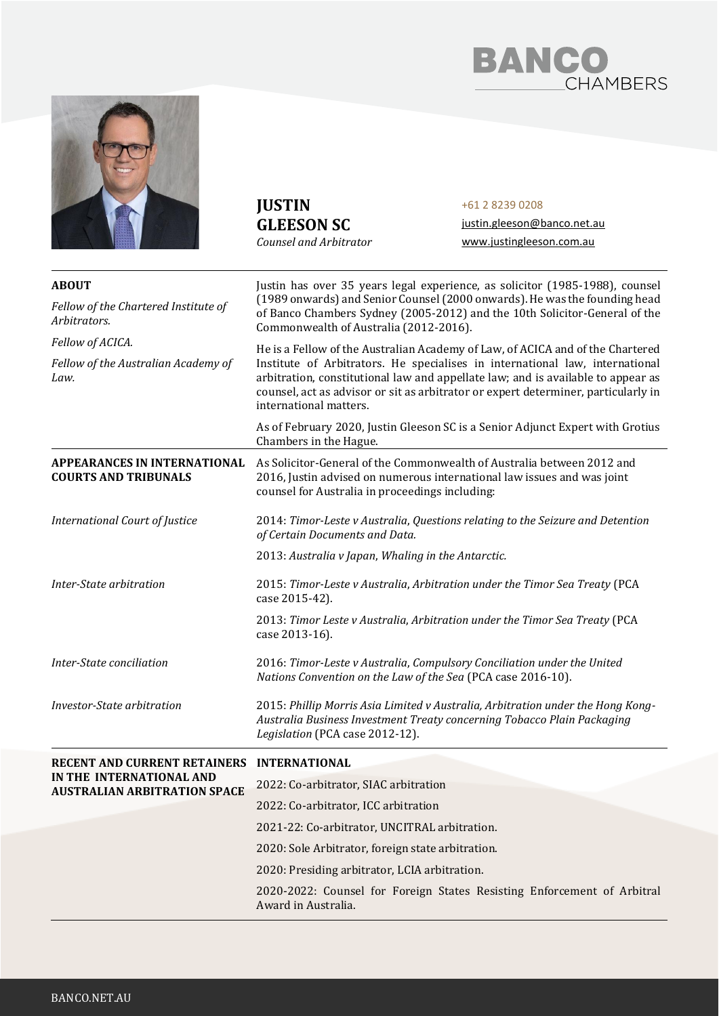



**JUSTIN GLEESON SC**  *Counsel and Arbitrator*

+61 2 8239 0208 [justin.gleeson@banco.net.au](mailto:justin.gleeson@banco.net.au) [www.justingleeson.com.au](http://www.justingleeson.com.au/)

| <b>ABOUT</b>                                                                                                            | Justin has over 35 years legal experience, as solicitor (1985-1988), counsel                                                                                                                                                                                                     |  |
|-------------------------------------------------------------------------------------------------------------------------|----------------------------------------------------------------------------------------------------------------------------------------------------------------------------------------------------------------------------------------------------------------------------------|--|
| Fellow of the Chartered Institute of<br>Arbitrators.<br>Fellow of ACICA.<br>Fellow of the Australian Academy of<br>Law. | (1989 onwards) and Senior Counsel (2000 onwards). He was the founding head<br>of Banco Chambers Sydney (2005-2012) and the 10th Solicitor-General of the<br>Commonwealth of Australia (2012-2016).                                                                               |  |
|                                                                                                                         | He is a Fellow of the Australian Academy of Law, of ACICA and of the Chartered                                                                                                                                                                                                   |  |
|                                                                                                                         | Institute of Arbitrators. He specialises in international law, international<br>arbitration, constitutional law and appellate law; and is available to appear as<br>counsel, act as advisor or sit as arbitrator or expert determiner, particularly in<br>international matters. |  |
|                                                                                                                         | As of February 2020, Justin Gleeson SC is a Senior Adjunct Expert with Grotius<br>Chambers in the Hague.                                                                                                                                                                         |  |
| <b>APPEARANCES IN INTERNATIONAL</b><br><b>COURTS AND TRIBUNALS</b>                                                      | As Solicitor-General of the Commonwealth of Australia between 2012 and<br>2016, Justin advised on numerous international law issues and was joint<br>counsel for Australia in proceedings including:                                                                             |  |
| International Court of Justice                                                                                          | 2014: Timor-Leste v Australia, Questions relating to the Seizure and Detention<br>of Certain Documents and Data.                                                                                                                                                                 |  |
|                                                                                                                         | 2013: Australia v Japan, Whaling in the Antarctic.                                                                                                                                                                                                                               |  |
| Inter-State arbitration                                                                                                 | 2015: Timor-Leste v Australia, Arbitration under the Timor Sea Treaty (PCA<br>case 2015-42).                                                                                                                                                                                     |  |
|                                                                                                                         | 2013: Timor Leste v Australia, Arbitration under the Timor Sea Treaty (PCA<br>case 2013-16).                                                                                                                                                                                     |  |
| Inter-State conciliation                                                                                                | 2016: Timor-Leste v Australia, Compulsory Conciliation under the United<br>Nations Convention on the Law of the Sea (PCA case 2016-10).                                                                                                                                          |  |
| Investor-State arbitration                                                                                              | 2015: Phillip Morris Asia Limited v Australia, Arbitration under the Hong Kong-<br>Australia Business Investment Treaty concerning Tobacco Plain Packaging<br>Legislation (PCA case 2012-12).                                                                                    |  |
| <b>RECENT AND CURRENT RETAINERS</b>                                                                                     | <b>INTERNATIONAL</b>                                                                                                                                                                                                                                                             |  |
| IN THE INTERNATIONAL AND<br><b>AUSTRALIAN ARBITRATION SPACE</b>                                                         | 2022: Co-arbitrator, SIAC arbitration                                                                                                                                                                                                                                            |  |
|                                                                                                                         | 2022: Co-arbitrator, ICC arbitration                                                                                                                                                                                                                                             |  |
|                                                                                                                         | 2021-22: Co-arbitrator, UNCITRAL arbitration.                                                                                                                                                                                                                                    |  |
|                                                                                                                         | 2020: Sole Arbitrator, foreign state arbitration.                                                                                                                                                                                                                                |  |
|                                                                                                                         | 2020: Presiding arbitrator, LCIA arbitration.                                                                                                                                                                                                                                    |  |
|                                                                                                                         | 2020-2022: Counsel for Foreign States Resisting Enforcement of Arbitral<br>Award in Australia.                                                                                                                                                                                   |  |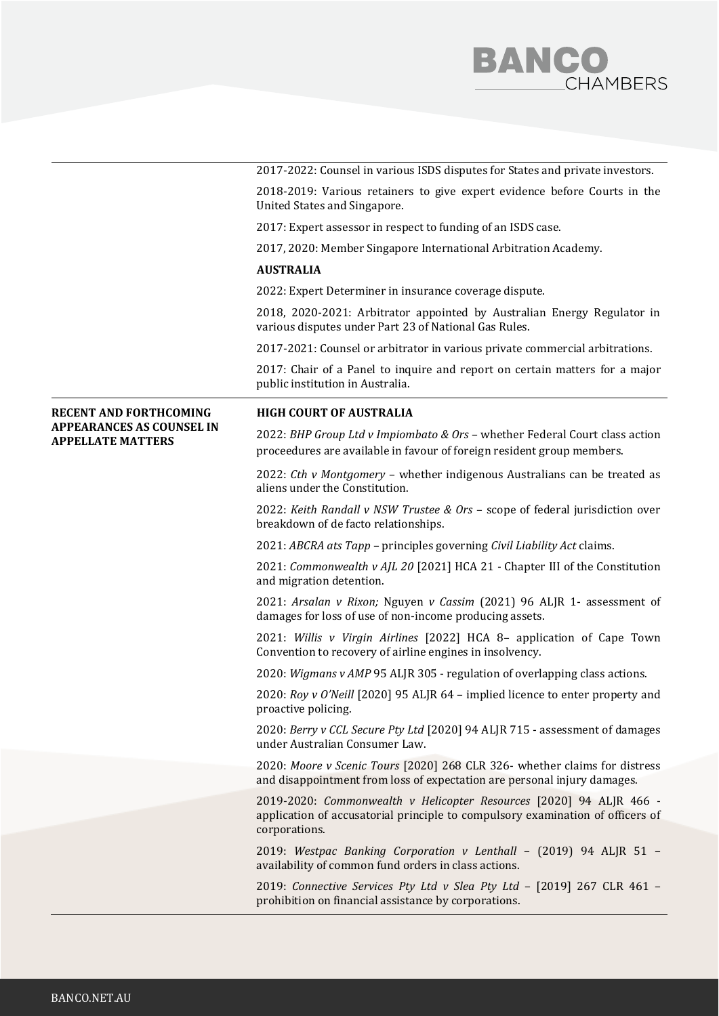

| 2017-2022: Counsel in various ISDS disputes for States and private investors. |  |  |
|-------------------------------------------------------------------------------|--|--|
|-------------------------------------------------------------------------------|--|--|

2018-2019: Various retainers to give expert evidence before Courts in the United States and Singapore.

2017: Expert assessor in respect to funding of an ISDS case.

2017, 2020: Member Singapore International Arbitration Academy.

## **AUSTRALIA**

2022: Expert Determiner in insurance coverage dispute.

2018, 2020-2021: Arbitrator appointed by Australian Energy Regulator in various disputes under Part 23 of National Gas Rules.

2017-2021: Counsel or arbitrator in various private commercial arbitrations.

2017: Chair of a Panel to inquire and report on certain matters for a major public institution in Australia.

# **RECENT AND FORTHCOMING APPEARANCES AS COUNSEL IN APPELLATE MATTERS**

#### **HIGH COURT OF AUSTRALIA**

2022: *BHP Group Ltd v Impiombato & Ors* – whether Federal Court class action proceedures are available in favour of foreign resident group members.

2022: *Cth v Montgomery* – whether indigenous Australians can be treated as aliens under the Constitution.

2022: *Keith Randall v NSW Trustee & Ors* – scope of federal jurisdiction over breakdown of de facto relationships.

2021: *ABCRA ats Tapp* – principles governing *Civil Liability Act* claims.

2021: *Commonwealth v AJL 20* [2021] HCA 21 - Chapter III of the Constitution and migration detention.

2021: *Arsalan v Rixon;* Nguyen *v Cassim* (2021) 96 ALJR 1- assessment of damages for loss of use of non-income producing assets.

2021: *Willis v Virgin Airlines* [2022] HCA 8– application of Cape Town Convention to recovery of airline engines in insolvency.

2020: *Wigmans v AMP* 95 ALJR 305 - regulation of overlapping class actions.

2020: *Roy v O'Neill* [2020] 95 ALJR 64 – implied licence to enter property and proactive policing.

2020: *Berry v CCL Secure Pty Ltd* [2020] 94 ALJR 715 - assessment of damages under Australian Consumer Law.

2020: *Moore v Scenic Tours* [2020] 268 CLR 326- whether claims for distress and disappointment from loss of expectation are personal injury damages.

2019-2020: *Commonwealth v Helicopter Resources* [2020] 94 ALJR 466 application of accusatorial principle to compulsory examination of officers of corporations.

2019: *Westpac Banking Corporation v Lenthall* – (2019) 94 ALJR 51 – availability of common fund orders in class actions.

2019: *Connective Services Pty Ltd v Slea Pty Ltd* – [2019] 267 CLR 461 – prohibition on financial assistance by corporations.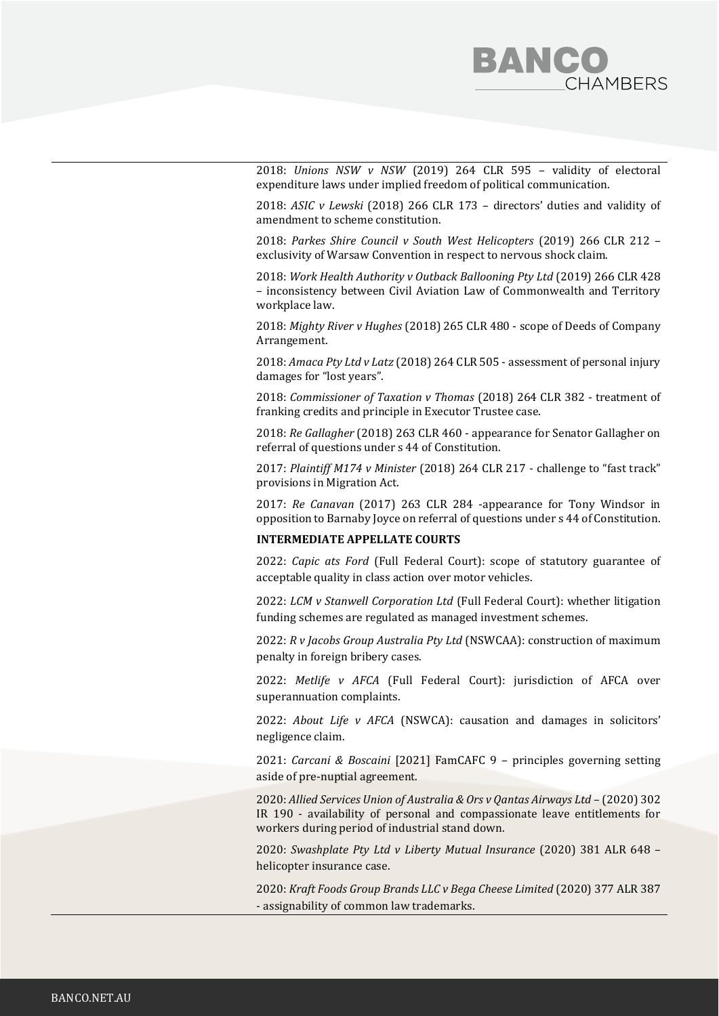

2018: *Unions NSW v NSW* (2019) 264 CLR 595 – validity of electoral expenditure laws under implied freedom of political communication.

2018: *ASIC v Lewski* (2018) 266 CLR 173 – directors' duties and validity of amendment to scheme constitution.

2018: *Parkes Shire Council v South West Helicopters* (2019) 266 CLR 212 – exclusivity of Warsaw Convention in respect to nervous shock claim.

2018: *Work Health Authority v Outback Ballooning Pty Ltd* (2019) 266 CLR 428 – inconsistency between Civil Aviation Law of Commonwealth and Territory workplace law.

2018: *Mighty River v Hughes* (2018) 265 CLR 480 - scope of Deeds of Company Arrangement.

2018: *Amaca Pty Ltd v Latz* (2018) 264 CLR 505 - assessment of personal injury damages for "lost years".

2018: *Commissioner of Taxation v Thomas* (2018) 264 CLR 382 - treatment of franking credits and principle in Executor Trustee case.

2018: *Re Gallagher* (2018) 263 CLR 460 - appearance for Senator Gallagher on referral of questions under s 44 of Constitution.

2017: *Plaintiff M174 v Minister* (2018) 264 CLR 217 - challenge to "fast track" provisions in Migration Act.

2017: *Re Canavan* (2017) 263 CLR 284 -appearance for Tony Windsor in opposition to Barnaby Joyce on referral of questions under s 44 of Constitution.

# **INTERMEDIATE APPELLATE COURTS**

2022: *Capic ats Ford* (Full Federal Court): scope of statutory guarantee of acceptable quality in class action over motor vehicles.

2022: *LCM v Stanwell Corporation Ltd* (Full Federal Court): whether litigation funding schemes are regulated as managed investment schemes.

2022: *R v Jacobs Group Australia Pty Ltd* (NSWCAA): construction of maximum penalty in foreign bribery cases.

2022: *Metlife v AFCA* (Full Federal Court): jurisdiction of AFCA over superannuation complaints.

2022: *About Life v AFCA* (NSWCA): causation and damages in solicitors' negligence claim.

2021: *Carcani & Boscaini* [2021] FamCAFC 9 – principles governing setting aside of pre-nuptial agreement.

2020: *Allied Services Union of Australia & Ors v Qantas Airways Ltd* – (2020) 302 IR 190 - availability of personal and compassionate leave entitlements for workers during period of industrial stand down.

2020: *Swashplate Pty Ltd v Liberty Mutual Insurance* (2020) 381 ALR 648 – helicopter insurance case.

2020: *Kraft Foods Group Brands LLC v Bega Cheese Limited* (2020) 377 ALR 387 - assignability of common law trademarks.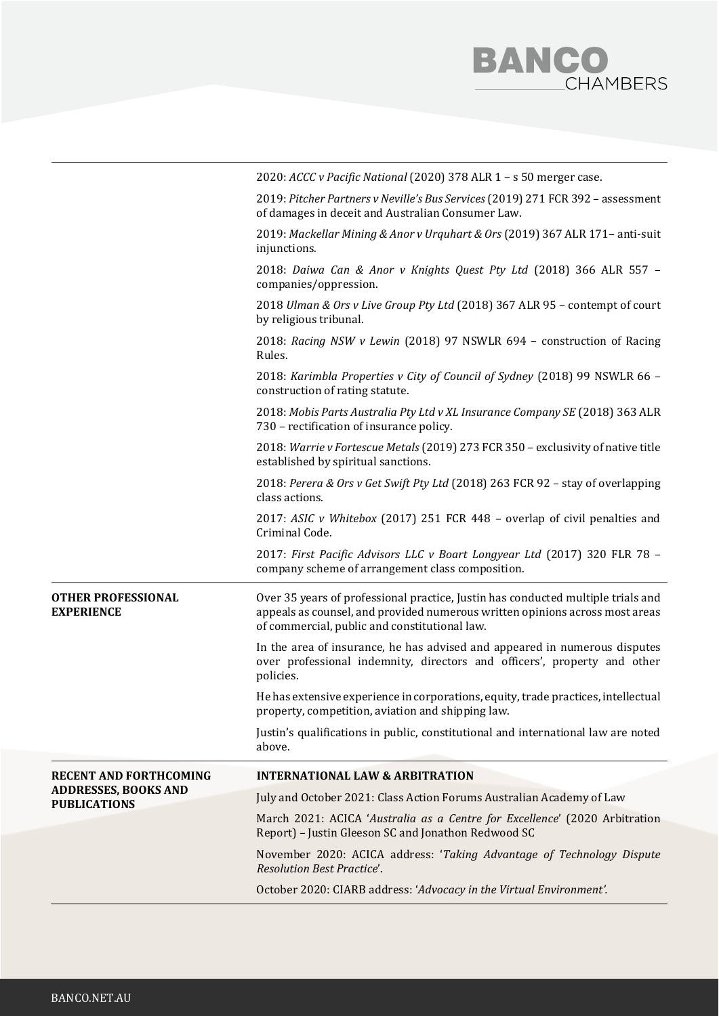|                                                    | 2020: ACCC v Pacific National (2020) 378 ALR 1 - s 50 merger case.                                                                                                                                                |
|----------------------------------------------------|-------------------------------------------------------------------------------------------------------------------------------------------------------------------------------------------------------------------|
|                                                    | 2019: Pitcher Partners v Neville's Bus Services (2019) 271 FCR 392 - assessment<br>of damages in deceit and Australian Consumer Law.                                                                              |
|                                                    | 2019: Mackellar Mining & Anor v Urquhart & Ors (2019) 367 ALR 171- anti-suit<br>injunctions.                                                                                                                      |
|                                                    | 2018: Daiwa Can & Anor v Knights Quest Pty Ltd (2018) 366 ALR 557 -<br>companies/oppression.                                                                                                                      |
|                                                    | 2018 Ulman & Ors v Live Group Pty Ltd (2018) 367 ALR 95 - contempt of court<br>by religious tribunal.                                                                                                             |
|                                                    | 2018: Racing NSW v Lewin (2018) 97 NSWLR 694 - construction of Racing<br>Rules.                                                                                                                                   |
|                                                    | 2018: Karimbla Properties v City of Council of Sydney (2018) 99 NSWLR 66 -<br>construction of rating statute.                                                                                                     |
|                                                    | 2018: Mobis Parts Australia Pty Ltd v XL Insurance Company SE (2018) 363 ALR<br>730 - rectification of insurance policy.                                                                                          |
|                                                    | 2018: Warrie v Fortescue Metals (2019) 273 FCR 350 - exclusivity of native title<br>established by spiritual sanctions.                                                                                           |
|                                                    | 2018: Perera & Ors v Get Swift Pty Ltd (2018) 263 FCR 92 - stay of overlapping<br>class actions.                                                                                                                  |
|                                                    | 2017: ASIC v Whitebox (2017) 251 FCR 448 - overlap of civil penalties and<br>Criminal Code.                                                                                                                       |
|                                                    | 2017: First Pacific Advisors LLC v Boart Longyear Ltd (2017) 320 FLR 78 -<br>company scheme of arrangement class composition.                                                                                     |
| <b>OTHER PROFESSIONAL</b><br><b>EXPERIENCE</b>     | Over 35 years of professional practice, Justin has conducted multiple trials and<br>appeals as counsel, and provided numerous written opinions across most areas<br>of commercial, public and constitutional law. |
|                                                    | In the area of insurance, he has advised and appeared in numerous disputes<br>over professional indemnity, directors and officers', property and other<br>policies.                                               |
|                                                    | He has extensive experience in corporations, equity, trade practices, intellectual<br>property, competition, aviation and shipping law.                                                                           |
|                                                    | Justin's qualifications in public, constitutional and international law are noted<br>above.                                                                                                                       |
| <b>RECENT AND FORTHCOMING</b>                      | <b>INTERNATIONAL LAW &amp; ARBITRATION</b>                                                                                                                                                                        |
| <b>ADDRESSES, BOOKS AND</b><br><b>PUBLICATIONS</b> | July and October 2021: Class Action Forums Australian Academy of Law                                                                                                                                              |
|                                                    | March 2021: ACICA 'Australia as a Centre for Excellence' (2020 Arbitration<br>Report) - Justin Gleeson SC and Jonathon Redwood SC                                                                                 |
|                                                    | November 2020: ACICA address: 'Taking Advantage of Technology Dispute<br><b>Resolution Best Practice'.</b>                                                                                                        |
|                                                    | October 2020: CIARB address: 'Advocacy in the Virtual Environment'.                                                                                                                                               |

**BANCO**<br>CHAMBERS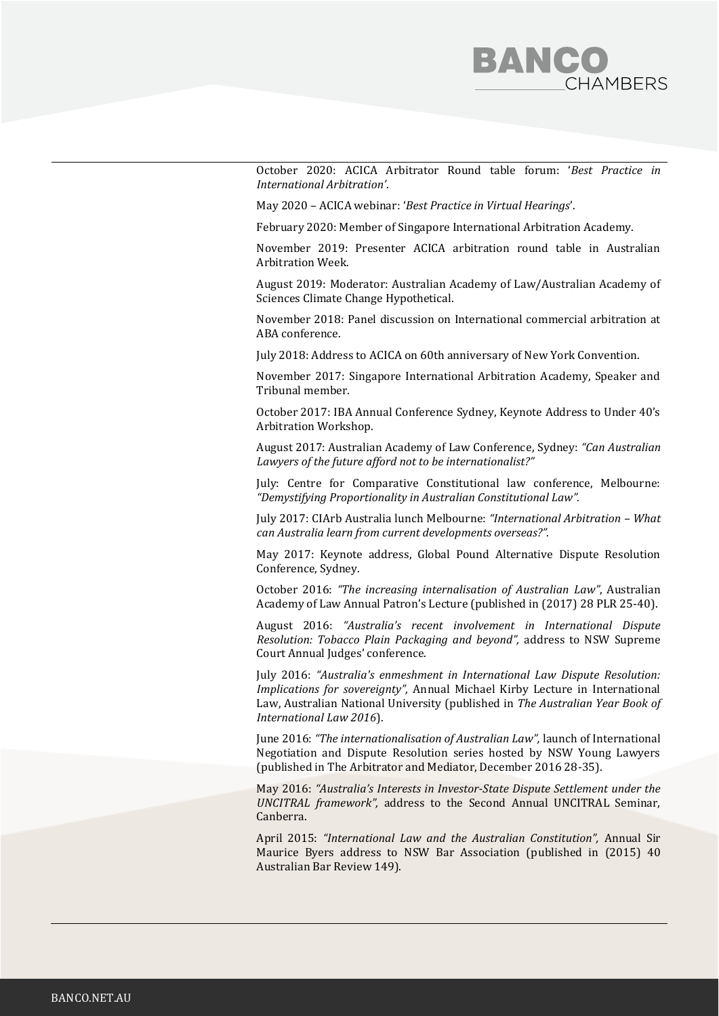

October 2020: ACICA Arbitrator Round table forum: '*Best Practice in International Arbitration'*.

May 2020 – ACICA webinar: '*Best Practice in Virtual Hearings*'.

February 2020: Member of Singapore International Arbitration Academy.

November 2019: Presenter ACICA arbitration round table in Australian Arbitration Week.

August 2019: Moderator: Australian Academy of Law/Australian Academy of Sciences Climate Change Hypothetical.

November 2018: Panel discussion on International commercial arbitration at ABA conference.

July 2018: Address to ACICA on 60th anniversary of New York Convention.

November 2017: Singapore International Arbitration Academy, Speaker and Tribunal member.

October 2017: IBA Annual Conference Sydney, Keynote Address to Under 40's Arbitration Workshop.

August 2017: Australian Academy of Law Conference, Sydney: *"Can Australian Lawyers of the future afford not to be internationalist?"*

July: Centre for Comparative Constitutional law conference, Melbourne: *"Demystifying Proportionality in Australian Constitutional Law".*

July 2017: CIArb Australia lunch Melbourne: *"International Arbitration – What can Australia learn from current developments overseas?".* 

May 2017: Keynote address, Global Pound Alternative Dispute Resolution Conference, Sydney.

October 2016: *"The increasing internalisation of Australian Law"*, Australian Academy of Law Annual Patron's Lecture (published in (2017) 28 PLR 25-40).

August 2016: *"Australia's recent involvement in International Dispute Resolution: Tobacco Plain Packaging and beyond",* address to NSW Supreme Court Annual Judges' conference.

July 2016: *"Australia's enmeshment in International Law Dispute Resolution: Implications for sovereignty",* Annual Michael Kirby Lecture in International Law, Australian National University (published in *The Australian Year Book of International Law 2016*).

June 2016: *"The internationalisation of Australian Law",* launch of International Negotiation and Dispute Resolution series hosted by NSW Young Lawyers (published in The Arbitrator and Mediator, December 2016 28-35).

May 2016: *"Australia's Interests in Investor-State Dispute Settlement under the UNCITRAL framework",* address to the Second Annual UNCITRAL Seminar, Canberra.

April 2015: *"International Law and the Australian Constitution",* Annual Sir Maurice Byers address to NSW Bar Association (published in (2015) 40 Australian Bar Review 149).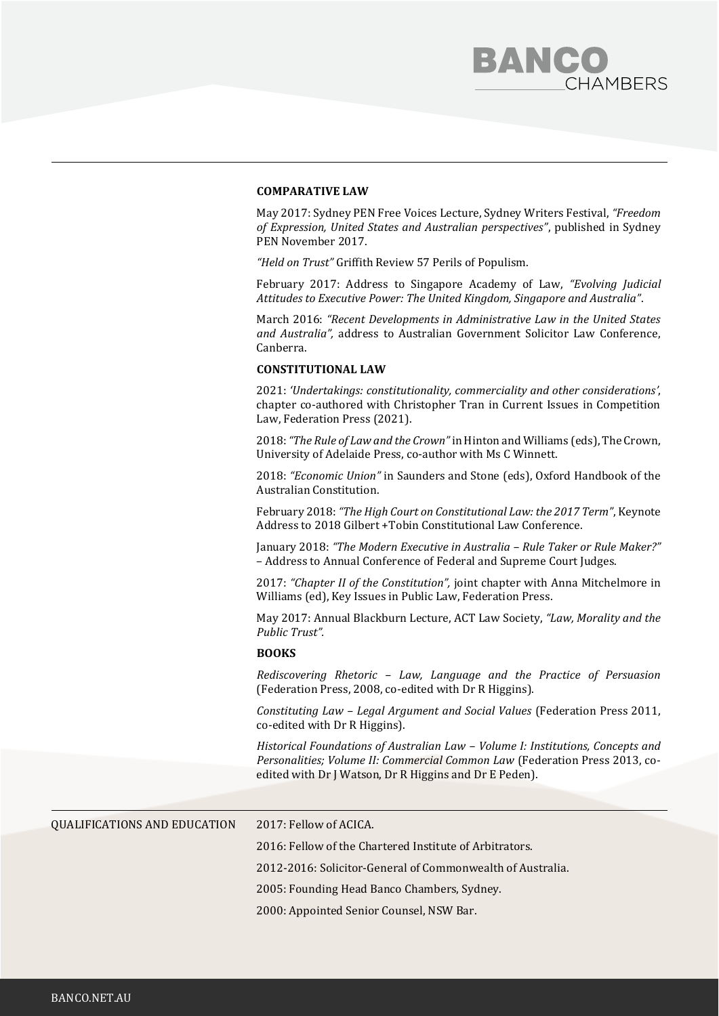#### **COMPARATIVE LAW**

May 2017: Sydney PEN Free Voices Lecture, Sydney Writers Festival, *"Freedom of Expression, United States and Australian perspectives"*, published in Sydney PEN November 2017.

*"Held on Trust"* Griffith Review 57 Perils of Populism.

February 2017: Address to Singapore Academy of Law, *"Evolving Judicial Attitudes to Executive Power: The United Kingdom, Singapore and Australia"*.

March 2016: *"Recent Developments in Administrative Law in the United States and Australia",* address to Australian Government Solicitor Law Conference, Canberra.

# **CONSTITUTIONAL LAW**

2021: *'Undertakings: constitutionality, commerciality and other considerations'*, chapter co-authored with Christopher Tran in Current Issues in Competition Law, Federation Press (2021).

2018: *"The Rule of Law and the Crown"* in Hinton and Williams (eds), The Crown, University of Adelaide Press, co-author with Ms C Winnett.

2018: *"Economic Union"* in Saunders and Stone (eds), Oxford Handbook of the Australian Constitution.

February 2018: *"The High Court on Constitutional Law: the 2017 Term"*, Keynote Address to 2018 Gilbert +Tobin Constitutional Law Conference.

January 2018: *"The Modern Executive in Australia – Rule Taker or Rule Maker?"* – Address to Annual Conference of Federal and Supreme Court Judges.

2017: *"Chapter II of the Constitution",* joint chapter with Anna Mitchelmore in Williams (ed), Key Issues in Public Law, Federation Press.

May 2017: Annual Blackburn Lecture, ACT Law Society, *"Law, Morality and the Public Trust".*

# **BOOKS**

*Rediscovering Rhetoric – Law, Language and the Practice of Persuasion*  (Federation Press, 2008, co-edited with Dr R Higgins).

*Constituting Law – Legal Argument and Social Values* (Federation Press 2011, co-edited with Dr R Higgins).

*Historical Foundations of Australian Law – Volume I: Institutions, Concepts and Personalities; Volume II: Commercial Common Law* (Federation Press 2013, coedited with Dr J Watson, Dr R Higgins and Dr E Peden).

| QUALIFICATIONS AND EDUCATION | 2017: Fellow of ACICA.                                     |
|------------------------------|------------------------------------------------------------|
|                              | 2016: Fellow of the Chartered Institute of Arbitrators.    |
|                              | 2012-2016: Solicitor-General of Commonwealth of Australia. |
|                              | 2005: Founding Head Banco Chambers, Sydney.                |
|                              | 2000: Appointed Senior Counsel, NSW Bar.                   |